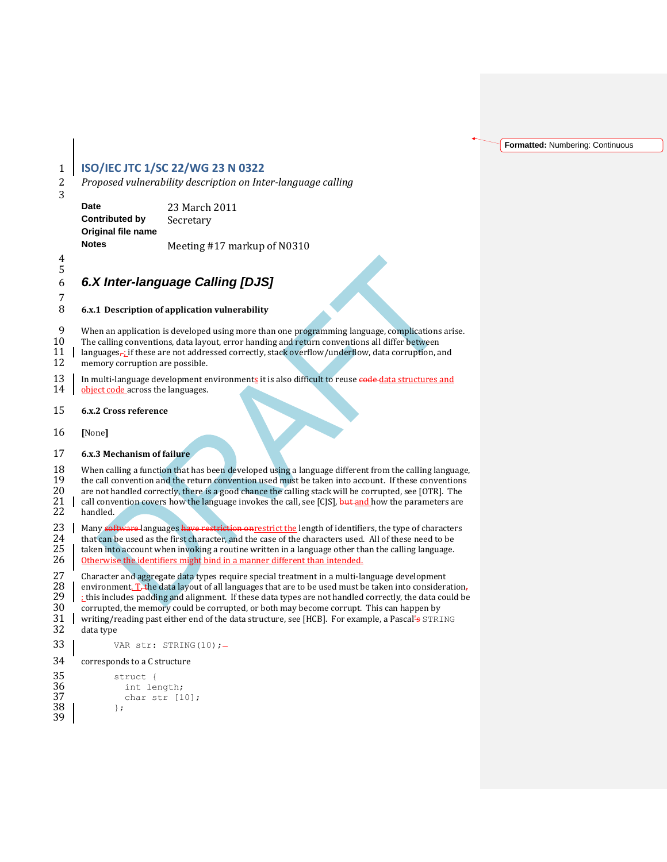**Formatted:** Numbering: Continuous

## 1 **ISO/IEC JTC 1/SC 22/WG 23 N 0322** 2 *Proposed vulnerability description on Inter-language calling* 3 **Date** 23 March 2011 **Contributed by** Secretary **Original file name Notes** Meeting #17 markup of N0310 4 5 6 *6.X Inter-language Calling [DJS]* 7 8 **6.x.1 Description of application vulnerability** 9 When an application is developed using more than one programming language, complications arise.<br>10 The calling conventions, data layout, error handing and return conventions all differ between 10 The calling conventions, data layout, error handing and return conventions all differ between 11 | languages, if these are not addressed correctly, stack overflow/underflow, data corruption, and memory corruption are possible. memory corruption are possible. 13 In multi-language development environments it is also difficult to reuse  $\frac{1}{4}$   $\frac{1}{4}$   $\frac{1}{4}$   $\frac{1}{4}$   $\frac{1}{4}$   $\frac{1}{4}$   $\frac{1}{4}$   $\frac{1}{4}$   $\frac{1}{4}$   $\frac{1}{4}$   $\frac{1}{4}$   $\frac{1}{4}$   $\frac{1}{4}$   $\frac{1}{4}$   $\frac{1$ object code across the languages. 15 **6.x.2 Cross reference** 16 **[**None**]** 17 **6.x.3 Mechanism of failure** 18 When calling a function that has been developed using a language different from the calling language,<br>19 the call convention and the return convention used must be taken into account. If these conventions 19 the call convention and the return convention used must be taken into account. If these conventions are not handled correctly, there is a good chance the calling stack will be corrupted, see [OTR]. The 20 are not handled correctly, there is a good chance the calling stack will be corrupted, see [OTR]. The 21 call convention covers how the language invokes the call, see [CJS], but and how the parameters are handled. call convention covers how the language invokes the call, see [CJS], but and how the parameters are handled. 23 Many software languages have restriction on restrict the length of identifiers, the type of characters that can be used as the first character, and the case of the characters used. All of these need to be 24 that can be used as the first character, and the case of the characters used. All of these need to be  $25 \mid$  taken into account when invoking a routine written in a language other than the calling language. 25 taken into account when invoking a routine written in a language other than the calling language.<br>26 therwise the identifiers might bind in a manner different than intended. Otherwise the identifiers might bind in a manner different than intended. 27 Character and aggregate data types require special treatment in a multi-language development 28  $\mid$  environment.  $T_{\tau}$  the data layout of all languages that are to be used must be taken into consideration 28 environment.  $T_r$  the data layout of all languages that are to be used must be taken into consideration,<br>29 this includes padding and alignment. If these data types are not handled correctly, the data could be 29 : this includes padding and alignment. If these data types are not handled correctly, the data could be corrupted, the memory could be corrupted, or both may become corrupt. This can happen by 30 corrupted, the memory could be corrupted, or both may become corrupt. This can happen by  $31 \mid$  writing/reading past either end of the data structure, see [HCB]. For example, a Pascal's STRI 31 writing/reading past either end of the data structure, see [HCB]. For example, a Pascal<sup>1</sup> s  $STRING$ <br>32 data type data type 33 VAR str: STRING(10) ;-34 corresponds to a C structure 35 struct {<br>36 int le int length; 37 char str [10];  $38 \mid \cdot \cdot \cdot \cdot \cdot \cdot$

39